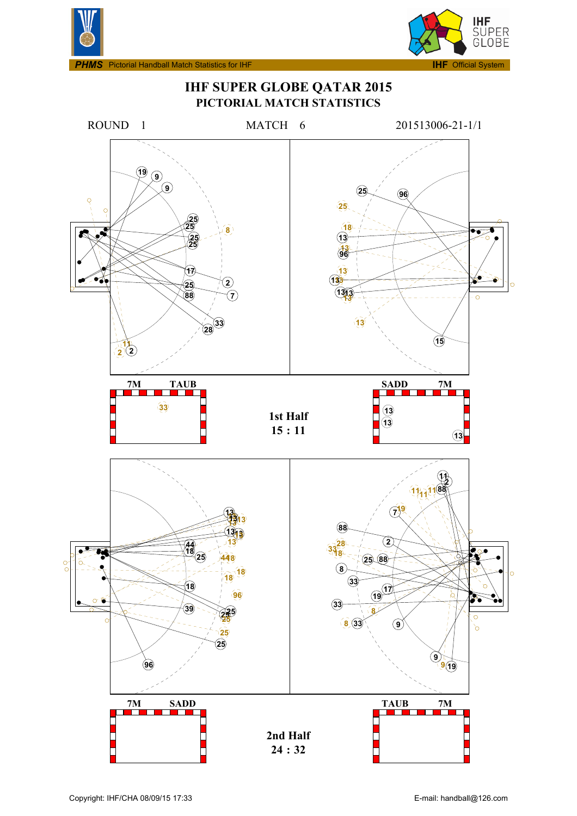



**IHF SUPER GLOBE QATAR 2015 PICTORIAL MATCH STATISTICS**

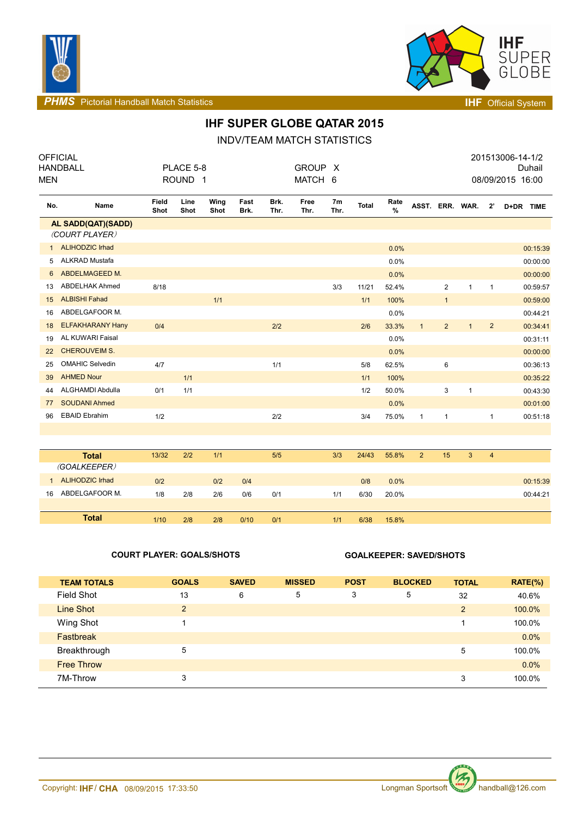



**PHMS** Pictorial Handball Match Statistics **INF** Official System

## **IHF SUPER GLOBE QATAR 2015**

INDV/TEAM MATCH STATISTICS

|              | <b>OFFICIAL</b><br><b>HANDBALL</b> |               | PLACE 5-8          |              |              |              | <b>GROUP</b> | - X                    |              |                       |                |                         |              |                | 201513006-14-1/2<br>Duhail |
|--------------|------------------------------------|---------------|--------------------|--------------|--------------|--------------|--------------|------------------------|--------------|-----------------------|----------------|-------------------------|--------------|----------------|----------------------------|
| <b>MEN</b>   |                                    |               | ROUND <sub>1</sub> |              |              |              | MATCH 6      |                        |              |                       |                |                         |              |                | 08/09/2015 16:00           |
| No.          | Name                               | Field<br>Shot | Line<br>Shot       | Wing<br>Shot | Fast<br>Brk. | Brk.<br>Thr. | Free<br>Thr. | 7 <sub>m</sub><br>Thr. | <b>Total</b> | Rate<br>$\frac{9}{6}$ |                | ASST. ERR. WAR.         |              | $2^{\prime}$   | D+DR TIME                  |
|              | AL SADD(QAT)(SADD)                 |               |                    |              |              |              |              |                        |              |                       |                |                         |              |                |                            |
|              | (COURT PLAYER)                     |               |                    |              |              |              |              |                        |              |                       |                |                         |              |                |                            |
| 1            | <b>ALIHODZIC Irhad</b>             |               |                    |              |              |              |              |                        |              | 0.0%                  |                |                         |              |                | 00:15:39                   |
| 5            | ALKRAD Mustafa                     |               |                    |              |              |              |              |                        |              | 0.0%                  |                |                         |              |                | 00:00:00                   |
| 6            | ABDELMAGEED M.                     |               |                    |              |              |              |              |                        |              | 0.0%                  |                |                         |              |                | 00:00:00                   |
| 13           | <b>ABDELHAK Ahmed</b>              | 8/18          |                    |              |              |              |              | 3/3                    | 11/21        | 52.4%                 |                | $\overline{\mathbf{c}}$ | 1            | $\mathbf{1}$   | 00:59:57                   |
| 15           | <b>ALBISHI Fahad</b>               |               |                    | $1/1$        |              |              |              |                        | $1/1$        | 100%                  |                | $\mathbf{1}$            |              |                | 00:59:00                   |
| 16           | ABDELGAFOOR M.                     |               |                    |              |              |              |              |                        |              | 0.0%                  |                |                         |              |                | 00:44:21                   |
| 18           | <b>ELFAKHARANY Hany</b>            | 0/4           |                    |              |              | 2/2          |              |                        | 2/6          | 33.3%                 | $\mathbf{1}$   | $\overline{2}$          | $\mathbf{1}$ | $\overline{2}$ | 00:34:41                   |
| 19           | AL KUWARI Faisal                   |               |                    |              |              |              |              |                        |              | 0.0%                  |                |                         |              |                | 00:31:11                   |
| 22           | <b>CHEROUVEIM S.</b>               |               |                    |              |              |              |              |                        |              | 0.0%                  |                |                         |              |                | 00:00:00                   |
| 25           | <b>OMAHIC Selvedin</b>             | 4/7           |                    |              |              | 1/1          |              |                        | 5/8          | 62.5%                 |                | 6                       |              |                | 00:36:13                   |
| 39           | <b>AHMED Nour</b>                  |               | 1/1                |              |              |              |              |                        | 1/1          | 100%                  |                |                         |              |                | 00:35:22                   |
| 44           | ALGHAMDI Abdulla                   | 0/1           | 1/1                |              |              |              |              |                        | 1/2          | 50.0%                 |                | 3                       | $\mathbf{1}$ |                | 00:43:30                   |
| 77           | <b>SOUDANI Ahmed</b>               |               |                    |              |              |              |              |                        |              | 0.0%                  |                |                         |              |                | 00:01:00                   |
| 96           | <b>EBAID Ebrahim</b>               | 1/2           |                    |              |              | 2/2          |              |                        | 3/4          | 75.0%                 | $\mathbf{1}$   | 1                       |              | $\mathbf{1}$   | 00:51:18                   |
|              |                                    |               |                    |              |              |              |              |                        |              |                       |                |                         |              |                |                            |
|              |                                    |               |                    |              |              |              |              |                        |              |                       |                |                         |              |                |                            |
|              | <b>Total</b>                       | 13/32         | 2/2                | 1/1          |              | 5/5          |              | 3/3                    | 24/43        | 55.8%                 | $\overline{2}$ | 15                      | 3            | $\overline{4}$ |                            |
|              | (GOALKEEPER)                       |               |                    |              |              |              |              |                        |              |                       |                |                         |              |                |                            |
| $\mathbf{1}$ | <b>ALIHODZIC Irhad</b>             | 0/2           |                    | 0/2          | 0/4          |              |              |                        | 0/8          | 0.0%                  |                |                         |              |                | 00:15:39                   |
| 16           | ABDELGAFOOR M.                     | 1/8           | 2/8                | 2/6          | 0/6          | 0/1          |              | 1/1                    | 6/30         | 20.0%                 |                |                         |              |                | 00:44:21                   |
|              |                                    |               |                    |              |              |              |              |                        |              |                       |                |                         |              |                |                            |
|              | <b>Total</b>                       | $1/10$        | 2/8                | 2/8          | 0/10         | 0/1          |              | $1/1$                  | 6/38         | 15.8%                 |                |                         |              |                |                            |

### **COURT PLAYER: GOALS/SHOTS GOALKEEPER: SAVED/SHOTS**

| <b>TEAM TOTALS</b> | <b>GOALS</b>   | <b>SAVED</b> | <b>MISSED</b> | <b>POST</b> | <b>BLOCKED</b> | <b>TOTAL</b>   | $RATE(\% )$ |
|--------------------|----------------|--------------|---------------|-------------|----------------|----------------|-------------|
| <b>Field Shot</b>  | 13             | 6            | 5             | 3           | 5              | 32             | 40.6%       |
| Line Shot          | $\overline{2}$ |              |               |             |                | $\overline{2}$ | 100.0%      |
| Wing Shot          |                |              |               |             |                |                | 100.0%      |
| <b>Fastbreak</b>   |                |              |               |             |                |                | $0.0\%$     |
| Breakthrough       | 5              |              |               |             |                | 5              | 100.0%      |
| <b>Free Throw</b>  |                |              |               |             |                |                | $0.0\%$     |
| 7M-Throw           | 3              |              |               |             |                | 3              | 100.0%      |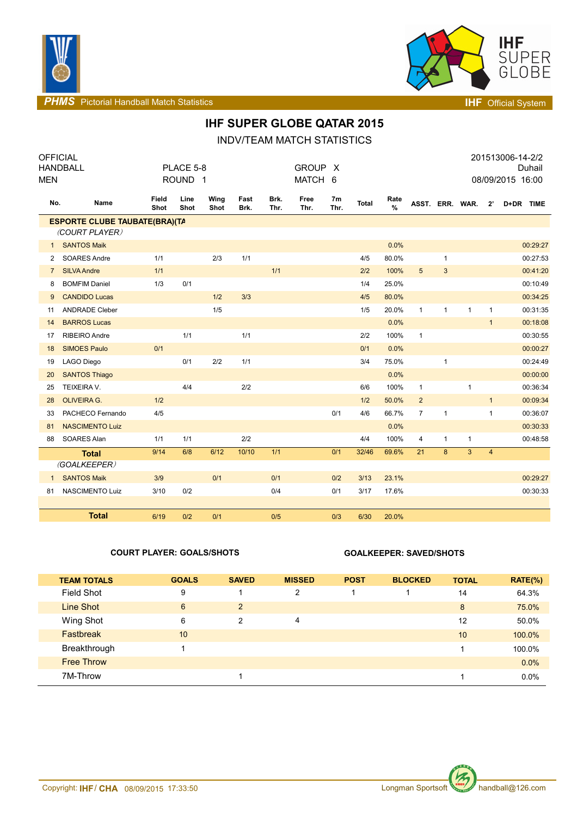



**PHMS** Pictorial Handball Match Statistics **Intervalse and Contract Contract Contract Contract Contract Contract Contract Contract Contract Contract Contract Contract Contract Contract Contract Contract Contract Contract C** 

### **IHF SUPER GLOBE QATAR 2015**

INDV/TEAM MATCH STATISTICS

|                | <b>OFFICIAL</b>                      |               |                    |              |              |              |              |                        |       |              |                 |              |              |                | 201513006-14-2/2 |
|----------------|--------------------------------------|---------------|--------------------|--------------|--------------|--------------|--------------|------------------------|-------|--------------|-----------------|--------------|--------------|----------------|------------------|
|                | <b>HANDBALL</b>                      |               | PLACE 5-8          |              |              |              | <b>GROUP</b> | X                      |       |              |                 |              |              |                | Duhail           |
| <b>MEN</b>     |                                      |               | ROUND <sub>1</sub> |              |              |              | MATCH 6      |                        |       |              |                 |              |              |                | 08/09/2015 16:00 |
| No.            | Name                                 | Field<br>Shot | Line<br>Shot       | Wing<br>Shot | Fast<br>Brk. | Brk.<br>Thr. | Free<br>Thr. | 7 <sub>m</sub><br>Thr. | Total | Rate<br>$\%$ | ASST. ERR. WAR. |              |              | $2^{\prime}$   | D+DR TIME        |
|                | <b>ESPORTE CLUBE TAUBATE(BRA)(TA</b> |               |                    |              |              |              |              |                        |       |              |                 |              |              |                |                  |
|                | (COURT PLAYER)                       |               |                    |              |              |              |              |                        |       |              |                 |              |              |                |                  |
| $\mathbf{1}$   | <b>SANTOS Maik</b>                   |               |                    |              |              |              |              |                        |       | 0.0%         |                 |              |              |                | 00:29:27         |
| 2              | <b>SOARES Andre</b>                  | 1/1           |                    | 2/3          | 1/1          |              |              |                        | 4/5   | 80.0%        |                 | $\mathbf{1}$ |              |                | 00:27:53         |
| $\overline{7}$ | <b>SILVA Andre</b>                   | 1/1           |                    |              |              | 1/1          |              |                        | 2/2   | 100%         | $5\overline{)}$ | 3            |              |                | 00:41:20         |
| 8              | <b>BOMFIM Daniel</b>                 | 1/3           | 0/1                |              |              |              |              |                        | 1/4   | 25.0%        |                 |              |              |                | 00:10:49         |
| 9              | <b>CANDIDO Lucas</b>                 |               |                    | 1/2          | 3/3          |              |              |                        | 4/5   | 80.0%        |                 |              |              |                | 00:34:25         |
| 11             | <b>ANDRADE Cleber</b>                |               |                    | 1/5          |              |              |              |                        | 1/5   | 20.0%        | $\mathbf{1}$    | $\mathbf{1}$ | $\mathbf{1}$ | $\mathbf{1}$   | 00:31:35         |
| 14             | <b>BARROS Lucas</b>                  |               |                    |              |              |              |              |                        |       | 0.0%         |                 |              |              | $\mathbf{1}$   | 00:18:08         |
| 17             | <b>RIBEIRO Andre</b>                 |               | 1/1                |              | 1/1          |              |              |                        | 2/2   | 100%         | $\mathbf{1}$    |              |              |                | 00:30:55         |
| 18             | <b>SIMOES Paulo</b>                  | 0/1           |                    |              |              |              |              |                        | 0/1   | 0.0%         |                 |              |              |                | 00:00:27         |
| 19             | LAGO Diego                           |               | 0/1                | 2/2          | 1/1          |              |              |                        | 3/4   | 75.0%        |                 | $\mathbf{1}$ |              |                | 00:24:49         |
| 20             | <b>SANTOS Thiago</b>                 |               |                    |              |              |              |              |                        |       | 0.0%         |                 |              |              |                | 00:00:00         |
| 25             | TEIXEIRA V.                          |               | 4/4                |              | 2/2          |              |              |                        | 6/6   | 100%         | $\mathbf{1}$    |              | $\mathbf{1}$ |                | 00:36:34         |
| 28             | <b>OLIVEIRA G.</b>                   | 1/2           |                    |              |              |              |              |                        | 1/2   | 50.0%        | $\overline{2}$  |              |              | 1              | 00:09:34         |
| 33             | PACHECO Fernando                     | 4/5           |                    |              |              |              |              | 0/1                    | 4/6   | 66.7%        | $\overline{7}$  | $\mathbf{1}$ |              | $\mathbf{1}$   | 00:36:07         |
| 81             | <b>NASCIMENTO Luiz</b>               |               |                    |              |              |              |              |                        |       | 0.0%         |                 |              |              |                | 00:30:33         |
| 88             | SOARES Alan                          | 1/1           | 1/1                |              | 2/2          |              |              |                        | 4/4   | 100%         | 4               | $\mathbf{1}$ | $\mathbf{1}$ |                | 00:48:58         |
|                | <b>Total</b>                         | 9/14          | 6/8                | 6/12         | 10/10        | 1/1          |              | 0/1                    | 32/46 | 69.6%        | 21              | 8            | 3            | $\overline{4}$ |                  |
|                | (GOALKEEPER)                         |               |                    |              |              |              |              |                        |       |              |                 |              |              |                |                  |
| $\mathbf{1}$   | <b>SANTOS Maik</b>                   | 3/9           |                    | 0/1          |              | 0/1          |              | 0/2                    | 3/13  | 23.1%        |                 |              |              |                | 00:29:27         |
| 81             | <b>NASCIMENTO Luiz</b>               | 3/10          | 0/2                |              |              | 0/4          |              | 0/1                    | 3/17  | 17.6%        |                 |              |              |                | 00:30:33         |
|                |                                      |               |                    |              |              |              |              |                        |       |              |                 |              |              |                |                  |
|                | <b>Total</b>                         | 6/19          | 0/2                | 0/1          |              | 0/5          |              | 0/3                    | 6/30  | 20.0%        |                 |              |              |                |                  |

### **COURT PLAYER: GOALS/SHOTS GOALKEEPER: SAVED/SHOTS**

| <b>TEAM TOTALS</b> | <b>GOALS</b> | <b>SAVED</b>   | <b>MISSED</b> | <b>POST</b> | <b>BLOCKED</b> | <b>TOTAL</b> | $RATE(\%)$ |
|--------------------|--------------|----------------|---------------|-------------|----------------|--------------|------------|
| Field Shot         | 9            |                | 2             |             |                | 14           | 64.3%      |
| <b>Line Shot</b>   | 6            | $\overline{2}$ |               |             |                | 8            | 75.0%      |
| Wing Shot          | 6            | $\overline{2}$ | 4             |             |                | 12           | 50.0%      |
| Fastbreak          | 10           |                |               |             |                | 10           | 100.0%     |
| Breakthrough       |              |                |               |             |                |              | 100.0%     |
| <b>Free Throw</b>  |              |                |               |             |                |              | 0.0%       |
| 7M-Throw           |              |                |               |             |                |              | 0.0%       |